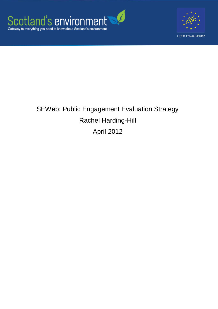



# SEWeb: Public Engagement Evaluation Strategy Rachel Harding-Hill April 2012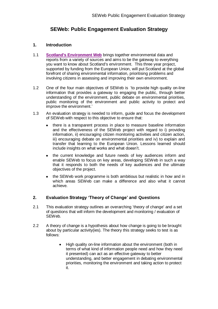## **SEWeb: Public Engagement Evaluation Strategy**

#### **1. Introduction**

- 1.1 **[Scotland's Environment Web](http://www.environment.scotland.gov.uk/default.aspx)** brings together environmental data and reports from a variety of sources and aims to be the gateway to everything you want to know about Scotland's environment. This three year project, supported by funding from the European Union, will put Scotland at the global forefront of sharing environmental information, prioritising problems and involving citizens in assessing and improving their own environment.
- 1.2 One of the four main objectives of SEWeb is 'to provide high quality on-line information that provides a gateway to engaging the public, through better understanding of the environment, public debate on environmental priorities, public monitoring of the environment and public activity to protect and improve the environment.'
- 1.3 An evaluation strategy is needed to inform, guide and focus the development of SEWeb with respect to this objective to ensure that:
	- there is a transparent process in place to measure baseline information  $\bullet$ and the effectiveness of the SEWeb project with regard to i) providing information, ii) encouraging citizen monitoring activities and citizen action, iii) encouraging debate on environmental priorities and iv) to explain and transfer that learning to the European Union. Lessons learned should include insights on what works and what doesn't.
	- the current knowledge and future needs of key audiences inform and enable SEWeb to focus on key areas, developing SEWeb in such a way that it responds to both the needs of key audiences and the ultimate objectives of the project.
	- the SEWeb work programme is both ambitious but realistic in how and in which areas SEWeb can make a difference and also what it cannot achieve.

#### **2. Evaluation Strategy 'Theory of Change' and Questions**

- 2.1 This evaluation strategy outlines an overarching 'theory of change' and a set of questions that will inform the development and monitoring / evaluation of SEWeb.
- 2.2 A theory of change is a hypothesis about how change is going to be brought about by particular activity(ies). The theory this strategy seeks to test is as follows:
	- High quality on-line information about the environment (both in  $\bullet$ terms of what kind of information people need and how they need it presented) can act as an effective gateway to better understanding, and better engagement in debating environmental priorities, monitoring the environment and taking action to protect it.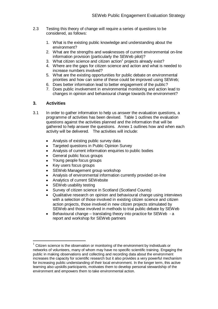- 2.3 Testing this theory of change will require a series of questions to be considered, as follows:
	- 1. What is the existing public knowledge and understanding about the environment?
	- 2. What are the strengths and weaknesses of current environmental on-line information provision (particularly the SEWeb pilot)?
	- 3. What citizen science and citizen action<sup>1</sup> projects already exist?
	- 4. Where are the gaps for citizen science and action and what is needed to increase numbers involved?
	- 5. What are the existing opportunities for public debate on environmental priorities and how can some of these could be improved using SEWeb;
	- 6. Does better information lead to better engagement of the public?
	- 7. Does public involvement in environmental monitoring and action lead to changes in opinion and behavioural change towards the environment?

#### **3. Activities**

<u>.</u>

- 3.1 In order to gather information to help us answer the evaluation questions, a programme of activities has been devised. Table 1 outlines the evaluation questions against the activities planned and the information that will be gathered to help answer the questions. Annex 1 outlines how and when each activity will be delivered. The activities will include:
	- Analysis of existing public survey data
	- Targeted questions in Public Opinion Survey  $\bullet$
	- Analysis of current information enquiries to public bodies  $\bullet$
	- General public focus groups
	- Young people focus groups
	- Key users focus groups
	- SEWeb Management group workshop
	- $\bullet$ Analysis of environmental information currently provided on-line
	- Analytics of current SEWebsite
	- SEWeb usability testing
	- Survey of citizen science in Scotland (Scotland Counts)
	- Qualitative research on opinion and behavioural change using interviews with a selection of those involved in existing citizen science and citizen action projects, those involved in new citizen projects stimulated by SEWeb and those involved in methods to trial public debate by SEWeb
	- Behavioural change translating theory into practice for SEWeb a report and workshop for SEWeb partners

 $1$  Citizen science is the observation or monitoring of the environment by individuals or networks of volunteers, many of whom may have no specific scientific training. Engaging the public in making observations and collecting and recording data about the environment increases the capacity for scientific research but it also provides a very powerful mechanism for increasing public understanding of their local environment. In the longer term, this active learning also upskills participants, motivates them to develop personal stewardship of the environment and empowers them to take environmental action.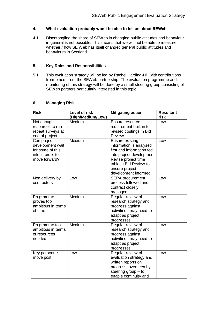#### **4. What evaluation probably won't be able to tell us about SEWeb**

4.1 Disentangling the share of SEWeb in changing public attitudes and behaviour in general is not possible. This means that we will not be able to measure whether / how SE Web has itself changed general public attitudes and behaviours in Scotland.

#### **5. Key Roles and Responsibilities**

5.1 This evaluation strategy will be led by Rachel Harding-Hill with contributions from others from the SEWeb partnership. The evaluation programme and monitoring of this strategy will be done by a small steering group consisting of SEWeb partners particularly interested in this topic.

#### **6. Managing Risk**

| <b>Risk</b>        | <b>Level of risk</b><br>(High/Medium/Low) | <b>Mitigating action</b>  | <b>Resultant</b><br>risk |
|--------------------|-------------------------------------------|---------------------------|--------------------------|
| Not enough         | Medium                                    | Ensure resource           | Low                      |
| resources to run   |                                           | requirement built in to   |                          |
| repeat surveys at  |                                           | revised costings in Bid   |                          |
| end of project     |                                           | Review                    |                          |
| Can project        | Medium                                    | <b>Ensure existing</b>    | Low                      |
| development wait   |                                           | information is analysed   |                          |
| for some of this   |                                           | first and information fed |                          |
| info in order to   |                                           | into project development  |                          |
| move forward?      |                                           | Revise project time       |                          |
|                    |                                           | table in Bid Review to    |                          |
|                    |                                           | ensure project            |                          |
|                    |                                           | development informed.     |                          |
| Non delivery by    | Low                                       | <b>SEPA</b> procurement   | Low                      |
| contractors        |                                           | process followed and      |                          |
|                    |                                           | contract closely          |                          |
|                    |                                           | managed                   |                          |
| Programme          | Medium                                    | Regular review of         | Low                      |
| proves too         |                                           | research strategy and     |                          |
| ambitious in terms |                                           | progress against          |                          |
| of time            |                                           | activities - may need to  |                          |
|                    |                                           | adapt as project          |                          |
|                    |                                           | progresses.               |                          |
| Programme too      | Medium                                    | Regular review of         | Low                      |
| ambitious in terms |                                           | research strategy and     |                          |
| of resources       |                                           | progress against          |                          |
| needed             |                                           | activities - may need to  |                          |
|                    |                                           | adapt as project          |                          |
|                    |                                           | progresses.               |                          |
| Key personnel      | Low                                       | Regular review of         | Low                      |
| move post          |                                           | evaluation strategy and   |                          |
|                    |                                           | written reports on        |                          |
|                    |                                           | progress, overseen by     |                          |
|                    |                                           | steering group - to       |                          |
|                    |                                           | enable continuity and     |                          |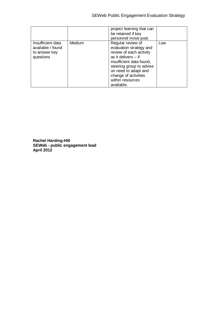|                                                                      |               | project learning that can<br>be retained if key<br>personnel move post.                                                                                                                                                                    |     |
|----------------------------------------------------------------------|---------------|--------------------------------------------------------------------------------------------------------------------------------------------------------------------------------------------------------------------------------------------|-----|
| Insufficient data<br>available / found<br>to answer key<br>questions | <b>Medium</b> | Regular review of<br>evaluation strategy and<br>review of each activity<br>as it delivers $-$ if<br>insufficient data found,<br>steering group to advise<br>on need to adapt and<br>change of activities<br>within resources<br>available. | Low |

**Rachel Harding-Hill SEWeb - public engagement lead April 2012**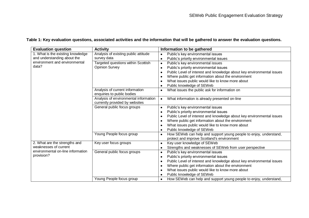### **Table 1: Key evaluation questions, associated activities and the information that will be gathered to answer the evaluation questions.**

| <b>Evaluation question</b>                      | <b>Activity</b>                                                         | Information to be gathered                                                                                                   |  |
|-------------------------------------------------|-------------------------------------------------------------------------|------------------------------------------------------------------------------------------------------------------------------|--|
| 1. What is the existing knowledge               | Analysis of existing public attitude                                    | Public's key environmental issues                                                                                            |  |
| and understanding about the                     | survey data                                                             | Public's priority environmental issues                                                                                       |  |
| environment and environmental                   | Targeted questions within Scottish                                      | Public's key environmental issues<br>$\bullet$                                                                               |  |
| data?                                           | <b>Opinion Survey</b>                                                   | Public's priority environmental issues<br>$\bullet$                                                                          |  |
|                                                 |                                                                         | Public Level of interest and knowledge about key environmental issues<br>$\bullet$                                           |  |
|                                                 |                                                                         | Where public get information about the environment                                                                           |  |
|                                                 |                                                                         | What issues public would like to know more about                                                                             |  |
|                                                 |                                                                         | Public knowledge of SEWeb                                                                                                    |  |
|                                                 | Analysis of current information<br>enquiries to public bodies           | What issues the public ask for information on<br>$\bullet$                                                                   |  |
|                                                 | Analysis of environmental information<br>currently provided by websites | What information is already presented on-line                                                                                |  |
|                                                 | General public focus groups                                             | Public's key environmental issues<br>$\bullet$                                                                               |  |
|                                                 |                                                                         | Public's priority environmental issues<br>$\bullet$                                                                          |  |
|                                                 |                                                                         | Public Level of interest and knowledge about key environmental issues<br>$\bullet$                                           |  |
|                                                 |                                                                         | Where public get information about the environment<br><b>C</b>                                                               |  |
|                                                 |                                                                         | What issues public would like to know more about                                                                             |  |
|                                                 |                                                                         | Public knowledge of SEWeb                                                                                                    |  |
|                                                 | Young People focus group                                                | How SEWeb can help and support young people to enjoy, understand,<br>$\bullet$<br>protect and improve Scotland's environment |  |
| 2. What are the strengths and                   | Key user focus groups                                                   | Key user knowledge of SEWeb<br>$\bullet$                                                                                     |  |
| weaknesses of current                           |                                                                         | Strengths and weaknesses of SEWeb from user perspective                                                                      |  |
| environmental on-line information<br>provision? | General public focus groups                                             | Public's key environmental issues<br>$\bullet$                                                                               |  |
|                                                 |                                                                         | Public's priority environmental issues<br>$\bullet$                                                                          |  |
|                                                 |                                                                         | Public Level of interest and knowledge about key environmental issues<br>$\bullet$                                           |  |
|                                                 |                                                                         | Where public get information about the environment<br><b>C</b>                                                               |  |
|                                                 |                                                                         | What issues public would like to know more about                                                                             |  |
|                                                 |                                                                         | Public knowledge of SEWeb                                                                                                    |  |
|                                                 | Young People focus group                                                | How SEWeb can help and support young people to enjoy, understand,<br>$\bullet$                                               |  |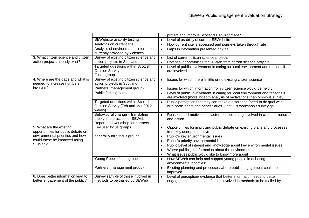|                                                                              |                                                                                                          | protect and improve Scotland's environment?                                                                                                                  |
|------------------------------------------------------------------------------|----------------------------------------------------------------------------------------------------------|--------------------------------------------------------------------------------------------------------------------------------------------------------------|
|                                                                              | SEWebsite usability testing                                                                              | Level of usability of current SEWebsite                                                                                                                      |
|                                                                              | Analytics on current site                                                                                | How current site is accessed and journeys taken through site<br>$\bullet$                                                                                    |
|                                                                              | Analysis of environmental information<br>currently provided by websites                                  | Gaps in information presented on-line<br>$\bullet$                                                                                                           |
| 3. What citizen science and citizen                                          | Survey of existing citizen science and                                                                   | List of current citizen science projects<br>$\bullet$                                                                                                        |
| action projects already exist?                                               | action projects in Scotland                                                                              | Potential opportunities for SEWeb from citizen science projects<br>$\bullet$                                                                                 |
|                                                                              | Targeted questions within Scottish<br><b>Opinion Survey</b><br>Focus group                               | Level of public involvement in caring for local environment and reasons if<br>$\bullet$<br>are involved.                                                     |
| 4. Where are the gaps and what is<br>needed to increase numbers<br>involved? | Survey of existing citizen science and<br>action projects in Scotland                                    | Issues for which there is little or no existing citizen science                                                                                              |
|                                                                              | Partners (management group)                                                                              | Issues for which information from citizen science would be helpful<br>$\bullet$                                                                              |
|                                                                              | Public focus groups                                                                                      | Level of public involvement in caring for local environment and reasons if<br>are involved (more indepth analysis of motivations than omnibus survey).       |
|                                                                              | Targeted questions within Scottish<br>Opinion Survey (Feb and Mar 2012<br>waves)                         | Public perception that they can make a difference [need to do qual work<br>$\bullet$<br>with participants and beneficiaries - not just workshop / survey qs] |
|                                                                              | Behavioural change - translating<br>theory into practice for SEWeb -<br>Report and workshop for partners | Reasons and motivational factors for becoming involved in citizen science<br>and action                                                                      |
| 5. What are the existing<br>opportunities for public debate on               | Key user focus groups                                                                                    | Opportunities for improving public debate on existing plans and processes<br>from key user perspective                                                       |
| environmental priorities and how                                             | general public focus groups                                                                              | Public's key environmental issues<br>$\bullet$                                                                                                               |
| could these be improved using                                                |                                                                                                          | Public's priority environmental issues<br>$\bullet$                                                                                                          |
| SEWeb?                                                                       |                                                                                                          | Public Level of interest and knowledge about key environmental issues<br>$\bullet$                                                                           |
|                                                                              |                                                                                                          | Where public get information about the environment<br>$\bullet$                                                                                              |
|                                                                              |                                                                                                          | What issues public would like to know more about<br>$\bullet$                                                                                                |
|                                                                              | Young People focus group                                                                                 | How SEWeb can help and support young people in debating<br>$\bullet$<br>environmental priorities?                                                            |
|                                                                              | Partners (management group)                                                                              | Existing planning and processes where public engagement could be<br>$\bullet$<br>improved                                                                    |
| 6. Does better information lead to                                           | Survey sample of those involved in                                                                       | Level of perception/ evidence that better information leads to better<br>$\bullet$                                                                           |
| better engagement of the public?                                             | methods to be trialled by SEWeb                                                                          | engagement in a sample of those involved in methods to be trialled by                                                                                        |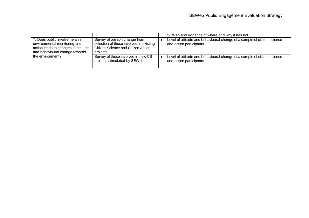|                                                                                                                                        |                                                                                                                             | SEWeb and evidence of where and why it has not                                                     |
|----------------------------------------------------------------------------------------------------------------------------------------|-----------------------------------------------------------------------------------------------------------------------------|----------------------------------------------------------------------------------------------------|
| 7. Does public involvement in<br>environmental monitoring and<br>action leads to changes in attitude<br>and behavioural change towards | Survey of opinion change from<br>selection of those involved in existing<br>Citizen Science and Citizen Action<br>projects. | Level of attitude and behavioural change of a sample of citizen science<br>and action participants |
| the environment?                                                                                                                       | Survey of those involved in new CS<br>projects stimulated by SEWeb                                                          | Level of attitude and behavioural change of a sample of citizen science<br>and action participants |